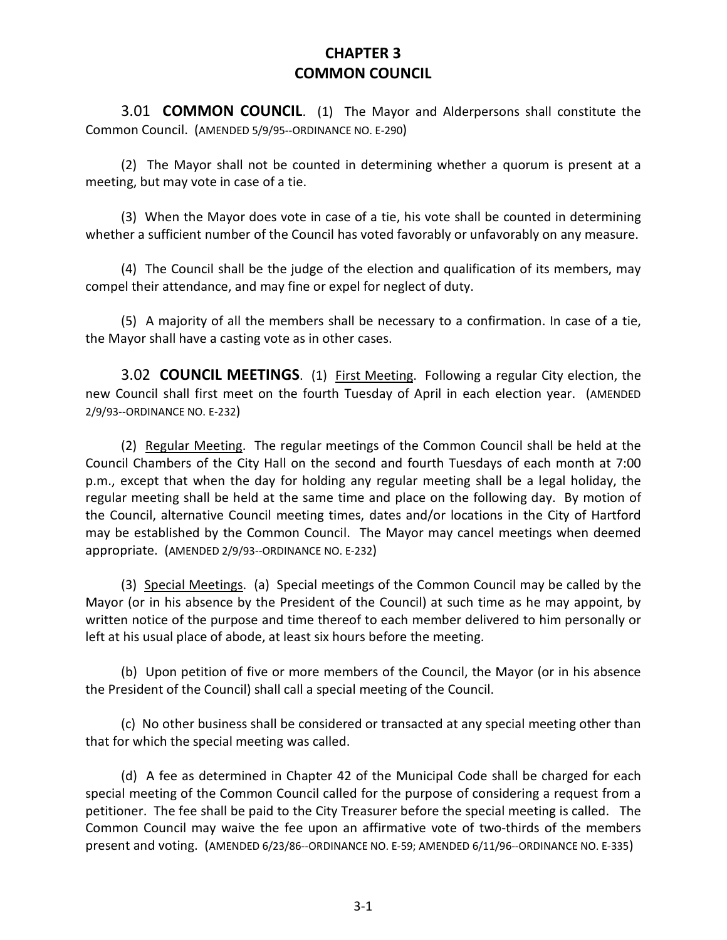## **CHAPTER 3 COMMON COUNCIL**

3.01 **COMMON COUNCIL**. (1) The Mayor and Alderpersons shall constitute the Common Council. (AMENDED 5/9/95--ORDINANCE NO. E-290)

(2) The Mayor shall not be counted in determining whether a quorum is present at a meeting, but may vote in case of a tie.

(3) When the Mayor does vote in case of a tie, his vote shall be counted in determining whether a sufficient number of the Council has voted favorably or unfavorably on any measure.

(4) The Council shall be the judge of the election and qualification of its members, may compel their attendance, and may fine or expel for neglect of duty.

(5) A majority of all the members shall be necessary to a confirmation. In case of a tie, the Mayor shall have a casting vote as in other cases.

3.02 **COUNCIL MEETINGS**. (1) First Meeting. Following a regular City election, the new Council shall first meet on the fourth Tuesday of April in each election year. (AMENDED 2/9/93--ORDINANCE NO. E-232)

(2) Regular Meeting. The regular meetings of the Common Council shall be held at the Council Chambers of the City Hall on the second and fourth Tuesdays of each month at 7:00 p.m., except that when the day for holding any regular meeting shall be a legal holiday, the regular meeting shall be held at the same time and place on the following day. By motion of the Council, alternative Council meeting times, dates and/or locations in the City of Hartford may be established by the Common Council. The Mayor may cancel meetings when deemed appropriate. (AMENDED 2/9/93--ORDINANCE NO. E-232)

(3) Special Meetings. (a) Special meetings of the Common Council may be called by the Mayor (or in his absence by the President of the Council) at such time as he may appoint, by written notice of the purpose and time thereof to each member delivered to him personally or left at his usual place of abode, at least six hours before the meeting.

(b) Upon petition of five or more members of the Council, the Mayor (or in his absence the President of the Council) shall call a special meeting of the Council.

(c) No other business shall be considered or transacted at any special meeting other than that for which the special meeting was called.

(d) A fee as determined in Chapter 42 of the Municipal Code shall be charged for each special meeting of the Common Council called for the purpose of considering a request from a petitioner. The fee shall be paid to the City Treasurer before the special meeting is called. The Common Council may waive the fee upon an affirmative vote of two-thirds of the members present and voting. (AMENDED 6/23/86--ORDINANCE NO. E-59; AMENDED 6/11/96--ORDINANCE NO. E-335)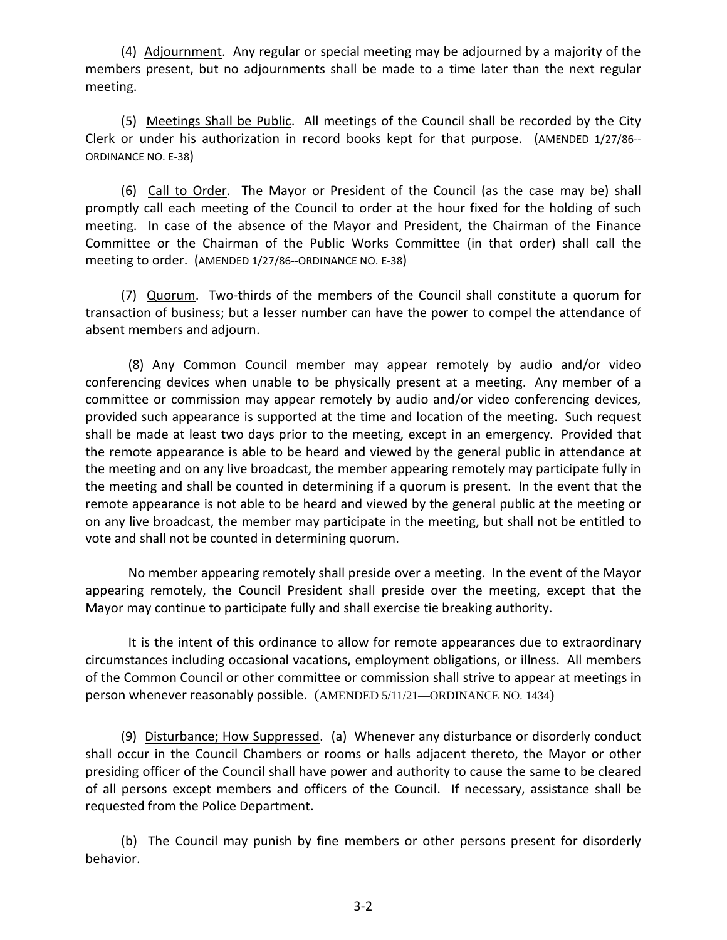(4) Adjournment. Any regular or special meeting may be adjourned by a majority of the members present, but no adjournments shall be made to a time later than the next regular meeting.

(5) Meetings Shall be Public. All meetings of the Council shall be recorded by the City Clerk or under his authorization in record books kept for that purpose. (AMENDED 1/27/86-- ORDINANCE NO. E-38)

(6) Call to Order. The Mayor or President of the Council (as the case may be) shall promptly call each meeting of the Council to order at the hour fixed for the holding of such meeting. In case of the absence of the Mayor and President, the Chairman of the Finance Committee or the Chairman of the Public Works Committee (in that order) shall call the meeting to order. (AMENDED 1/27/86--ORDINANCE NO. E-38)

(7) Quorum. Two-thirds of the members of the Council shall constitute a quorum for transaction of business; but a lesser number can have the power to compel the attendance of absent members and adjourn.

(8) Any Common Council member may appear remotely by audio and/or video conferencing devices when unable to be physically present at a meeting. Any member of a committee or commission may appear remotely by audio and/or video conferencing devices, provided such appearance is supported at the time and location of the meeting. Such request shall be made at least two days prior to the meeting, except in an emergency. Provided that the remote appearance is able to be heard and viewed by the general public in attendance at the meeting and on any live broadcast, the member appearing remotely may participate fully in the meeting and shall be counted in determining if a quorum is present. In the event that the remote appearance is not able to be heard and viewed by the general public at the meeting or on any live broadcast, the member may participate in the meeting, but shall not be entitled to vote and shall not be counted in determining quorum.

No member appearing remotely shall preside over a meeting. In the event of the Mayor appearing remotely, the Council President shall preside over the meeting, except that the Mayor may continue to participate fully and shall exercise tie breaking authority.

It is the intent of this ordinance to allow for remote appearances due to extraordinary circumstances including occasional vacations, employment obligations, or illness. All members of the Common Council or other committee or commission shall strive to appear at meetings in person whenever reasonably possible. (AMENDED 5/11/21—ORDINANCE NO. 1434)

(9) Disturbance; How Suppressed. (a) Whenever any disturbance or disorderly conduct shall occur in the Council Chambers or rooms or halls adjacent thereto, the Mayor or other presiding officer of the Council shall have power and authority to cause the same to be cleared of all persons except members and officers of the Council. If necessary, assistance shall be requested from the Police Department.

(b) The Council may punish by fine members or other persons present for disorderly behavior.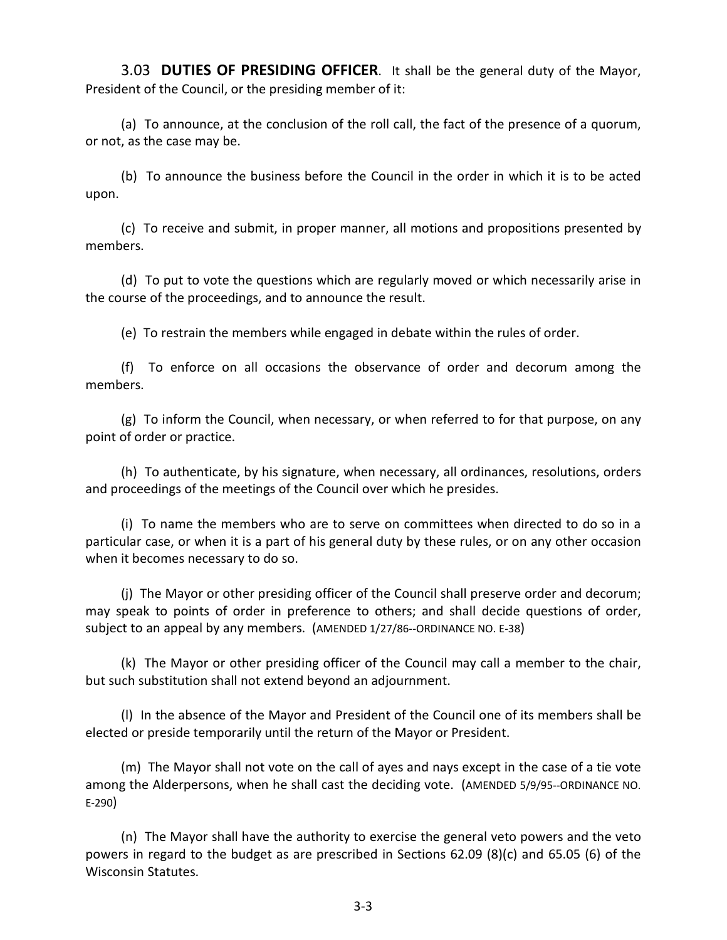3.03 **DUTIES OF PRESIDING OFFICER**. It shall be the general duty of the Mayor, President of the Council, or the presiding member of it:

(a) To announce, at the conclusion of the roll call, the fact of the presence of a quorum, or not, as the case may be.

(b) To announce the business before the Council in the order in which it is to be acted upon.

(c) To receive and submit, in proper manner, all motions and propositions presented by members.

(d) To put to vote the questions which are regularly moved or which necessarily arise in the course of the proceedings, and to announce the result.

(e) To restrain the members while engaged in debate within the rules of order.

(f) To enforce on all occasions the observance of order and decorum among the members.

(g) To inform the Council, when necessary, or when referred to for that purpose, on any point of order or practice.

(h) To authenticate, by his signature, when necessary, all ordinances, resolutions, orders and proceedings of the meetings of the Council over which he presides.

(i) To name the members who are to serve on committees when directed to do so in a particular case, or when it is a part of his general duty by these rules, or on any other occasion when it becomes necessary to do so.

(j) The Mayor or other presiding officer of the Council shall preserve order and decorum; may speak to points of order in preference to others; and shall decide questions of order, subject to an appeal by any members. (AMENDED 1/27/86--ORDINANCE NO. E-38)

(k) The Mayor or other presiding officer of the Council may call a member to the chair, but such substitution shall not extend beyond an adjournment.

(l) In the absence of the Mayor and President of the Council one of its members shall be elected or preside temporarily until the return of the Mayor or President.

(m) The Mayor shall not vote on the call of ayes and nays except in the case of a tie vote among the Alderpersons, when he shall cast the deciding vote. (AMENDED 5/9/95--ORDINANCE NO. E-290)

(n) The Mayor shall have the authority to exercise the general veto powers and the veto powers in regard to the budget as are prescribed in Sections 62.09 (8)(c) and 65.05 (6) of the Wisconsin Statutes.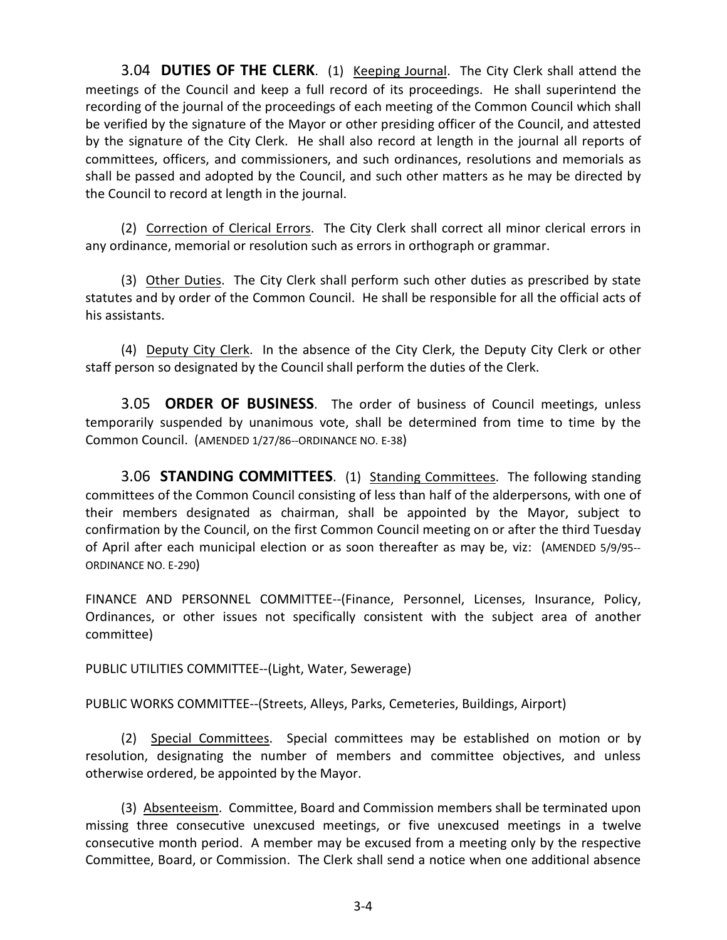3.04 **DUTIES OF THE CLERK**. (1) Keeping Journal. The City Clerk shall attend the meetings of the Council and keep a full record of its proceedings. He shall superintend the recording of the journal of the proceedings of each meeting of the Common Council which shall be verified by the signature of the Mayor or other presiding officer of the Council, and attested by the signature of the City Clerk. He shall also record at length in the journal all reports of committees, officers, and commissioners, and such ordinances, resolutions and memorials as shall be passed and adopted by the Council, and such other matters as he may be directed by the Council to record at length in the journal.

(2) Correction of Clerical Errors. The City Clerk shall correct all minor clerical errors in any ordinance, memorial or resolution such as errors in orthograph or grammar.

(3) Other Duties. The City Clerk shall perform such other duties as prescribed by state statutes and by order of the Common Council. He shall be responsible for all the official acts of his assistants.

(4) Deputy City Clerk. In the absence of the City Clerk, the Deputy City Clerk or other staff person so designated by the Council shall perform the duties of the Clerk.

3.05 **ORDER OF BUSINESS**. The order of business of Council meetings, unless temporarily suspended by unanimous vote, shall be determined from time to time by the Common Council. (AMENDED 1/27/86--ORDINANCE NO. E-38)

3.06 **STANDING COMMITTEES**. (1) Standing Committees. The following standing committees of the Common Council consisting of less than half of the alderpersons, with one of their members designated as chairman, shall be appointed by the Mayor, subject to confirmation by the Council, on the first Common Council meeting on or after the third Tuesday of April after each municipal election or as soon thereafter as may be, viz: (AMENDED 5/9/95-- ORDINANCE NO. E-290)

FINANCE AND PERSONNEL COMMITTEE--(Finance, Personnel, Licenses, Insurance, Policy, Ordinances, or other issues not specifically consistent with the subject area of another committee)

PUBLIC UTILITIES COMMITTEE--(Light, Water, Sewerage)

PUBLIC WORKS COMMITTEE--(Streets, Alleys, Parks, Cemeteries, Buildings, Airport)

(2) Special Committees. Special committees may be established on motion or by resolution, designating the number of members and committee objectives, and unless otherwise ordered, be appointed by the Mayor.

(3) Absenteeism. Committee, Board and Commission members shall be terminated upon missing three consecutive unexcused meetings, or five unexcused meetings in a twelve consecutive month period. A member may be excused from a meeting only by the respective Committee, Board, or Commission. The Clerk shall send a notice when one additional absence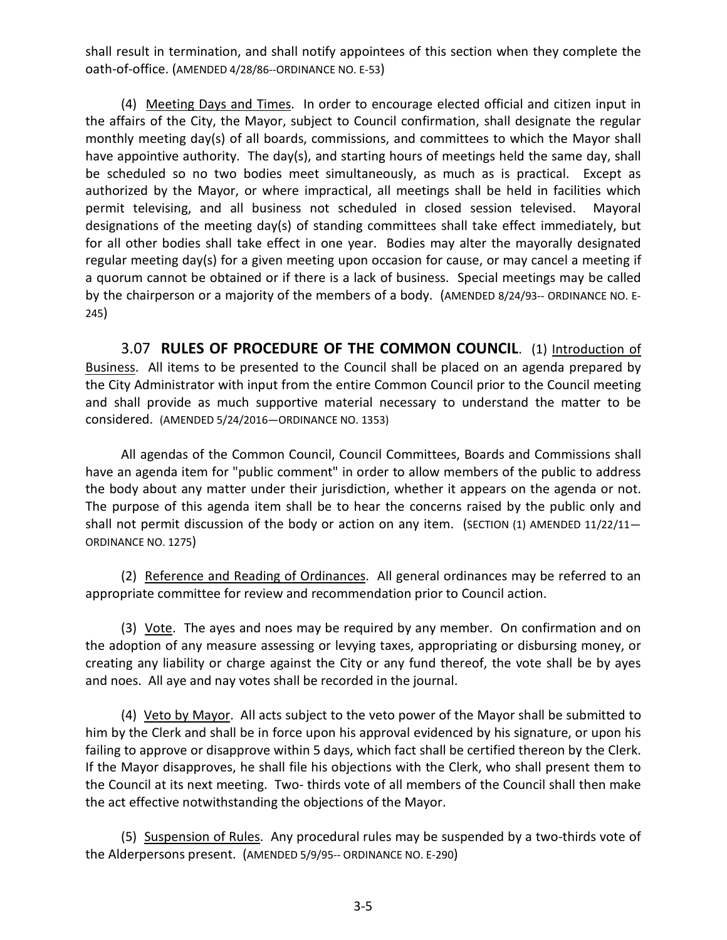shall result in termination, and shall notify appointees of this section when they complete the oath-of-office. (AMENDED 4/28/86--ORDINANCE NO. E-53)

(4) Meeting Days and Times. In order to encourage elected official and citizen input in the affairs of the City, the Mayor, subject to Council confirmation, shall designate the regular monthly meeting day(s) of all boards, commissions, and committees to which the Mayor shall have appointive authority. The day(s), and starting hours of meetings held the same day, shall be scheduled so no two bodies meet simultaneously, as much as is practical. Except as authorized by the Mayor, or where impractical, all meetings shall be held in facilities which permit televising, and all business not scheduled in closed session televised. Mayoral designations of the meeting day(s) of standing committees shall take effect immediately, but for all other bodies shall take effect in one year. Bodies may alter the mayorally designated regular meeting day(s) for a given meeting upon occasion for cause, or may cancel a meeting if a quorum cannot be obtained or if there is a lack of business. Special meetings may be called by the chairperson or a majority of the members of a body. (AMENDED 8/24/93-- ORDINANCE NO. E-245)

3.07 **RULES OF PROCEDURE OF THE COMMON COUNCIL**. (1) Introduction of Business. All items to be presented to the Council shall be placed on an agenda prepared by the City Administrator with input from the entire Common Council prior to the Council meeting and shall provide as much supportive material necessary to understand the matter to be considered. (AMENDED 5/24/2016—ORDINANCE NO. 1353)

All agendas of the Common Council, Council Committees, Boards and Commissions shall have an agenda item for "public comment" in order to allow members of the public to address the body about any matter under their jurisdiction, whether it appears on the agenda or not. The purpose of this agenda item shall be to hear the concerns raised by the public only and shall not permit discussion of the body or action on any item. (SECTION (1) AMENDED 11/22/11-ORDINANCE NO. 1275)

(2) Reference and Reading of Ordinances. All general ordinances may be referred to an appropriate committee for review and recommendation prior to Council action.

(3) Vote. The ayes and noes may be required by any member. On confirmation and on the adoption of any measure assessing or levying taxes, appropriating or disbursing money, or creating any liability or charge against the City or any fund thereof, the vote shall be by ayes and noes. All aye and nay votes shall be recorded in the journal.

(4) Veto by Mayor. All acts subject to the veto power of the Mayor shall be submitted to him by the Clerk and shall be in force upon his approval evidenced by his signature, or upon his failing to approve or disapprove within 5 days, which fact shall be certified thereon by the Clerk. If the Mayor disapproves, he shall file his objections with the Clerk, who shall present them to the Council at its next meeting. Two- thirds vote of all members of the Council shall then make the act effective notwithstanding the objections of the Mayor.

(5) Suspension of Rules. Any procedural rules may be suspended by a two-thirds vote of the Alderpersons present. (AMENDED 5/9/95-- ORDINANCE NO. E-290)